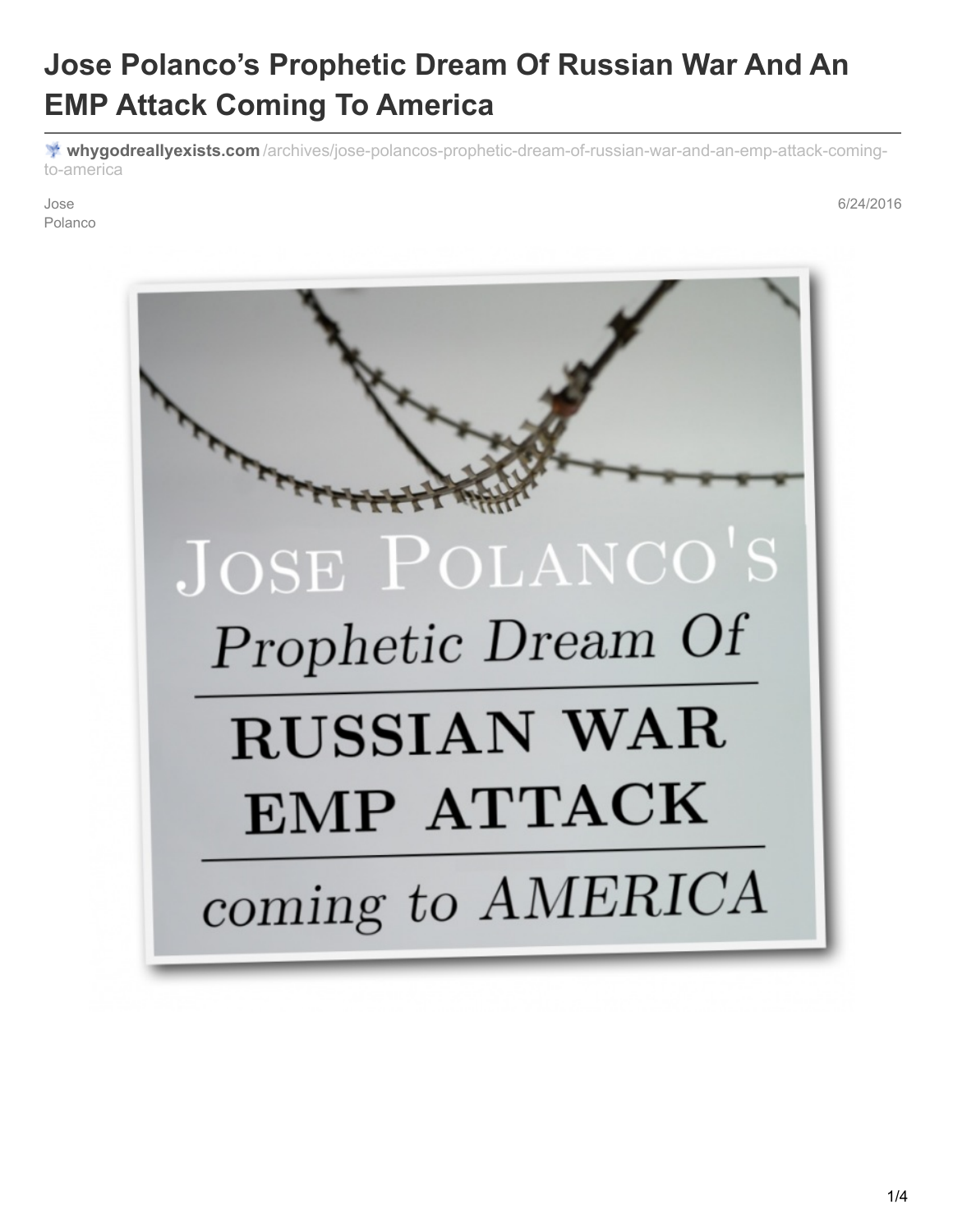## **Jose Polanco's Prophetic Dream Of Russian War And An EMP Attack Coming To America**

**whygodreallyexists.com** [/archives/jose-polancos-prophetic-dream-of-russian-war-and-an-emp-attack-coming](http://whygodreallyexists.com/archives/jose-polancos-prophetic-dream-of-russian-war-and-an-emp-attack-coming-to-america)to-america

Jose Polanco 6/24/2016

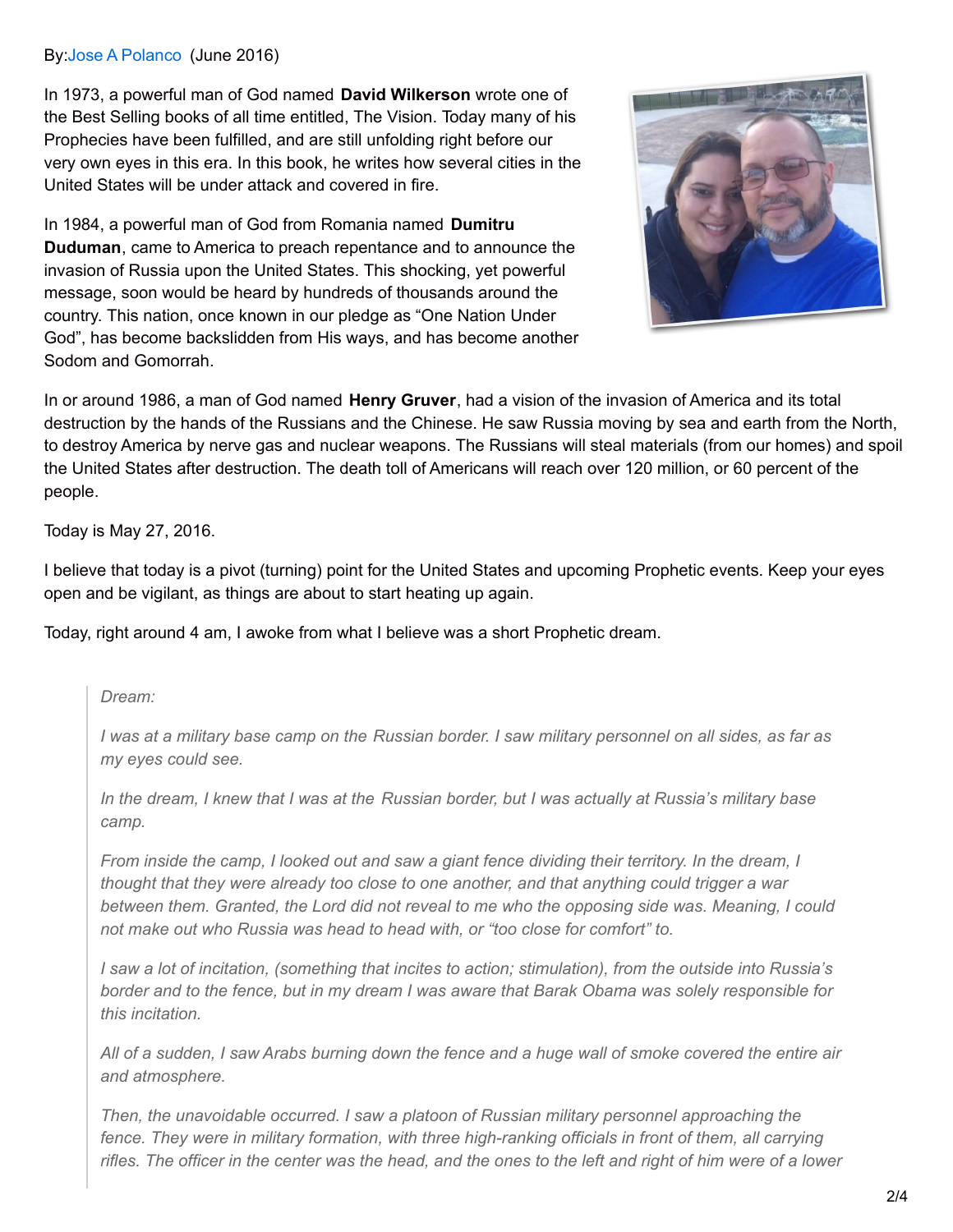## By:Jose A [Polanco](https://www.facebook.com/Neatsurf) (June 2016)

In 1973, a powerful man of God named **David Wilkerson** wrote one of the Best Selling books of all time entitled, The Vision. Today many of his Prophecies have been fulfilled, and are still unfolding right before our very own eyes in this era. In this book, he writes how several cities in the United States will be under attack and covered in fire.

In 1984, a powerful man of God from Romania named **Dumitru Duduman**, came to America to preach repentance and to announce the invasion of Russia upon the United States. This shocking, yet powerful message, soon would be heard by hundreds of thousands around the country. This nation, once known in our pledge as "One Nation Under God", has become backslidden from His ways, and has become another Sodom and Gomorrah.



In or around 1986, a man of God named **Henry Gruver**, had a vision of the invasion of America and its total destruction by the hands of the Russians and the Chinese. He saw Russia moving by sea and earth from the North, to destroy America by nerve gas and nuclear weapons. The Russians will steal materials (from our homes) and spoil the United States after destruction. The death toll of Americans will reach over 120 million, or 60 percent of the people.

Today is May 27, 2016.

I believe that today is a pivot (turning) point for the United States and upcoming Prophetic events. Keep your eyes open and be vigilant, as things are about to start heating up again.

Today, right around 4 am, I awoke from what I believe was a short Prophetic dream.

*Dream:*

I was at a military base camp on the Russian border. I saw military personnel on all sides, as far as *my eyes could see.*

In the dream, I knew that I was at the Russian border, but I was actually at Russia's military base *camp.*

From inside the camp, I looked out and saw a giant fence dividing their territory. In the dream, I *thought that they were already too close to one another, and that anything could trigger a war between them. Granted, the Lord did not reveal to me who the opposing side was. Meaning, I could not make out who Russia was head to head with, or "too close for comfort" to.*

I saw a lot of incitation, (something that incites to action; stimulation), from the outside into Russia's border and to the fence, but in my dream I was aware that Barak Obama was solely responsible for *this incitation.*

All of a sudden, I saw Arabs burning down the fence and a huge wall of smoke covered the entire air *and atmosphere.*

*Then, the unavoidable occurred. I saw a platoon of Russian military personnel approaching the fence. They were in military formation, with three high-ranking officials in front of them, all carrying* rifles. The officer in the center was the head, and the ones to the left and right of him were of a lower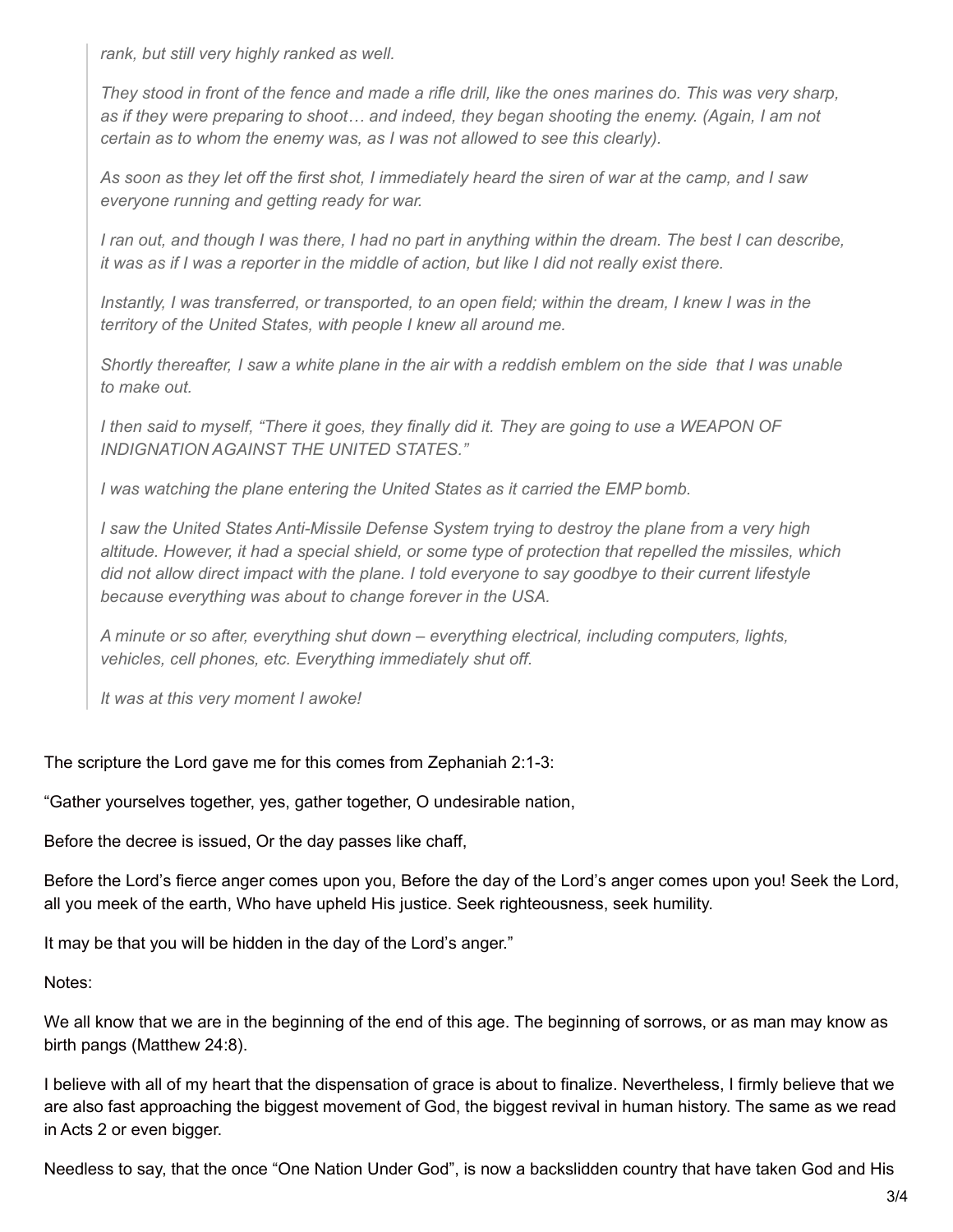*rank, but still very highly ranked as well.*

They stood in front of the fence and made a rifle drill, like the ones marines do. This was very sharp, *as if they were preparing to shoot… and indeed, they began shooting the enemy. (Again, I am not certain as to whom the enemy was, as I was not allowed to see this clearly).*

As soon as they let off the first shot, I immediately heard the siren of war at the camp, and I saw *everyone running and getting ready for war.*

I ran out, and though I was there, I had no part in anything within the dream. The best I can describe, it was as if I was a reporter in the middle of action, but like I did not really exist there.

Instantly, I was transferred, or transported, to an open field; within the dream, I knew I was in the *territory of the United States, with people I knew all around me.*

Shortly thereafter, I saw a white plane in the air with a reddish emblem on the side that I was unable *to make out.*

I then said to myself, "There it goes, they finally did it. They are going to use a WEAPON OF *INDIGNATION AGAINST THE UNITED STATES."*

*I was watching the plane entering the United States as it carried the EMP bomb.*

*I saw the United States Anti-Missile Defense System trying to destroy the plane from a very high altitude. However, it had a special shield, or some type of protection that repelled the missiles, which* did not allow direct impact with the plane. I told everyone to say goodbye to their current lifestyle *because everything was about to change forever in the USA.*

*A minute or so after, everything shut down – everything electrical, including computers, lights, vehicles, cell phones, etc. Everything immediately shut off.*

*It was at this very moment I awoke!*

The scripture the Lord gave me for this comes from Zephaniah 2:1-3:

"Gather yourselves together, yes, gather together, O undesirable nation,

Before the decree is issued, Or the day passes like chaff,

Before the Lord's fierce anger comes upon you, Before the day of the Lord's anger comes upon you! Seek the Lord, all you meek of the earth, Who have upheld His justice. Seek righteousness, seek humility.

It may be that you will be hidden in the day of the Lord's anger."

Notes:

We all know that we are in the beginning of the end of this age. The beginning of sorrows, or as man may know as birth pangs (Matthew 24:8).

I believe with all of my heart that the dispensation of grace is about to finalize. Nevertheless, I firmly believe that we are also fast approaching the biggest movement of God, the biggest revival in human history. The same as we read in Acts 2 or even bigger.

Needless to say, that the once "One Nation Under God", is now a backslidden country that have taken God and His